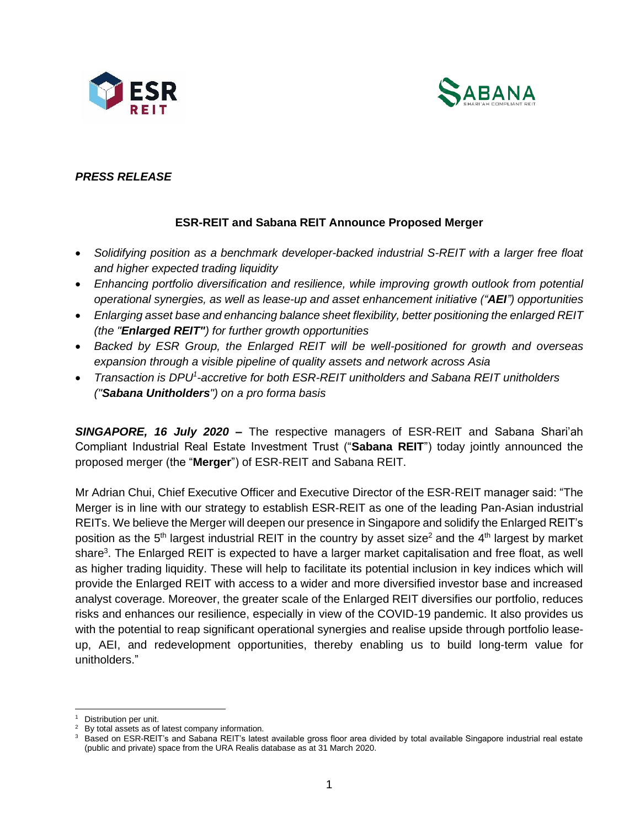



# *PRESS RELEASE*

## **ESR-REIT and Sabana REIT Announce Proposed Merger**

- *Solidifying position as a benchmark developer-backed industrial S-REIT with a larger free float and higher expected trading liquidity*
- *Enhancing portfolio diversification and resilience, while improving growth outlook from potential operational synergies, as well as lease-up and asset enhancement initiative ("AEI") opportunities*
- *Enlarging asset base and enhancing balance sheet flexibility, better positioning the enlarged REIT (the "Enlarged REIT") for further growth opportunities*
- *Backed by ESR Group, the Enlarged REIT will be well-positioned for growth and overseas expansion through a visible pipeline of quality assets and network across Asia*
- **•** Transaction is DPU<sup>1</sup>-accretive for both ESR-REIT unitholders and Sabana REIT unitholders *("Sabana Unitholders") on a pro forma basis*

*SINGAPORE, 16 July 2020* **–** The respective managers of ESR-REIT and Sabana Shari'ah Compliant Industrial Real Estate Investment Trust ("**Sabana REIT**") today jointly announced the proposed merger (the "**Merger**") of ESR-REIT and Sabana REIT.

Mr Adrian Chui, Chief Executive Officer and Executive Director of the ESR-REIT manager said: "The Merger is in line with our strategy to establish ESR-REIT as one of the leading Pan-Asian industrial REITs. We believe the Merger will deepen our presence in Singapore and solidify the Enlarged REIT's position as the 5<sup>th</sup> largest industrial REIT in the country by asset size<sup>2</sup> and the 4<sup>th</sup> largest by market share<sup>3</sup>. The Enlarged REIT is expected to have a larger market capitalisation and free float, as well as higher trading liquidity. These will help to facilitate its potential inclusion in key indices which will provide the Enlarged REIT with access to a wider and more diversified investor base and increased analyst coverage. Moreover, the greater scale of the Enlarged REIT diversifies our portfolio, reduces risks and enhances our resilience, especially in view of the COVID-19 pandemic. It also provides us with the potential to reap significant operational synergies and realise upside through portfolio leaseup, AEI, and redevelopment opportunities, thereby enabling us to build long-term value for unitholders."

Distribution per unit.

 $2$  By total assets as of latest company information.

<sup>&</sup>lt;sup>3</sup> Based on ESR-REIT's and Sabana REIT's latest available gross floor area divided by total available Singapore industrial real estate (public and private) space from the URA Realis database as at 31 March 2020.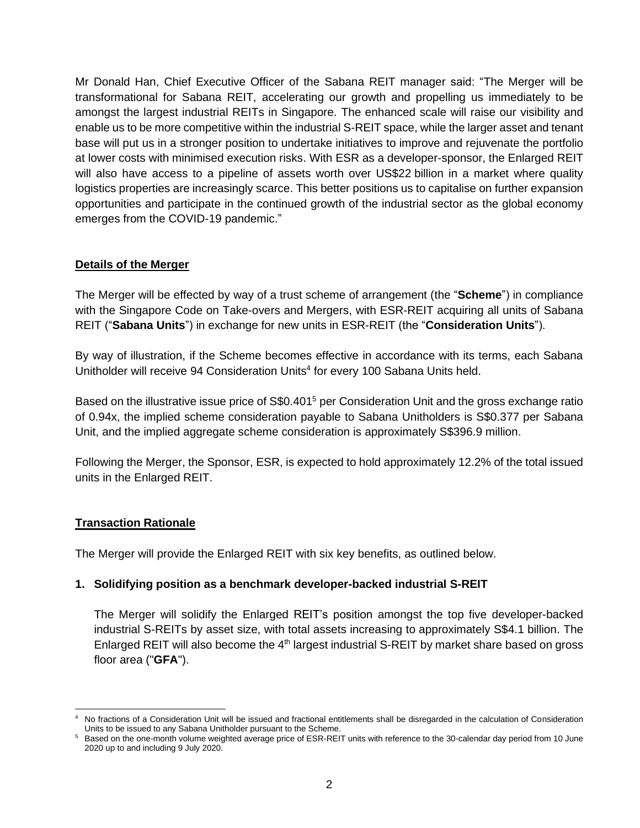Mr Donald Han, Chief Executive Officer of the Sabana REIT manager said: "The Merger will be transformational for Sabana REIT, accelerating our growth and propelling us immediately to be amongst the largest industrial REITs in Singapore. The enhanced scale will raise our visibility and enable us to be more competitive within the industrial S-REIT space, while the larger asset and tenant base will put us in a stronger position to undertake initiatives to improve and rejuvenate the portfolio at lower costs with minimised execution risks. With ESR as a developer-sponsor, the Enlarged REIT will also have access to a pipeline of assets worth over US\$22 billion in a market where quality logistics properties are increasingly scarce. This better positions us to capitalise on further expansion opportunities and participate in the continued growth of the industrial sector as the global economy emerges from the COVID-19 pandemic."

## **Details of the Merger**

The Merger will be effected by way of a trust scheme of arrangement (the "**Scheme**") in compliance with the Singapore Code on Take-overs and Mergers, with ESR-REIT acquiring all units of Sabana REIT ("**Sabana Units**") in exchange for new units in ESR-REIT (the "**Consideration Units**").

By way of illustration, if the Scheme becomes effective in accordance with its terms, each Sabana Unitholder will receive 94 Consideration Units<sup>4</sup> for every 100 Sabana Units held.

Based on the illustrative issue price of S\$0.401<sup>5</sup> per Consideration Unit and the gross exchange ratio of 0.94x, the implied scheme consideration payable to Sabana Unitholders is S\$0.377 per Sabana Unit, and the implied aggregate scheme consideration is approximately S\$396.9 million.

Following the Merger, the Sponsor, ESR, is expected to hold approximately 12.2% of the total issued units in the Enlarged REIT.

# **Transaction Rationale**

The Merger will provide the Enlarged REIT with six key benefits, as outlined below.

# **1. Solidifying position as a benchmark developer-backed industrial S-REIT**

The Merger will solidify the Enlarged REIT's position amongst the top five developer-backed industrial S-REITs by asset size, with total assets increasing to approximately S\$4.1 billion. The Enlarged REIT will also become the  $4<sup>th</sup>$  largest industrial S-REIT by market share based on gross floor area ("**GFA**").

<sup>4</sup> No fractions of a Consideration Unit will be issued and fractional entitlements shall be disregarded in the calculation of Consideration Units to be issued to any Sabana Unitholder pursuant to the Scheme.

<sup>&</sup>lt;sup>5</sup> Based on the one-month volume weighted average price of ESR-REIT units with reference to the 30-calendar day period from 10 June 2020 up to and including 9 July 2020.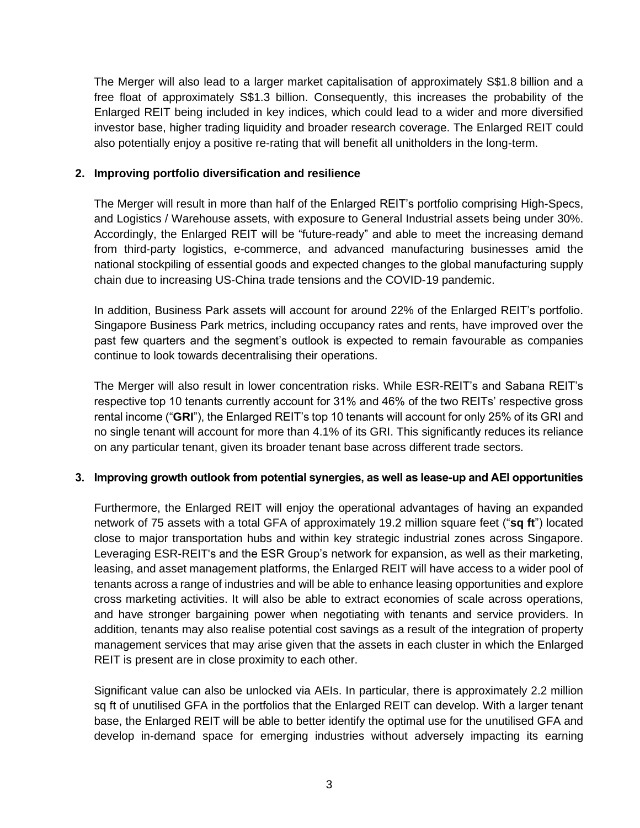The Merger will also lead to a larger market capitalisation of approximately S\$1.8 billion and a free float of approximately S\$1.3 billion. Consequently, this increases the probability of the Enlarged REIT being included in key indices, which could lead to a wider and more diversified investor base, higher trading liquidity and broader research coverage. The Enlarged REIT could also potentially enjoy a positive re-rating that will benefit all unitholders in the long-term.

### **2. Improving portfolio diversification and resilience**

The Merger will result in more than half of the Enlarged REIT's portfolio comprising High-Specs, and Logistics / Warehouse assets, with exposure to General Industrial assets being under 30%. Accordingly, the Enlarged REIT will be "future-ready" and able to meet the increasing demand from third-party logistics, e-commerce, and advanced manufacturing businesses amid the national stockpiling of essential goods and expected changes to the global manufacturing supply chain due to increasing US-China trade tensions and the COVID-19 pandemic.

In addition, Business Park assets will account for around 22% of the Enlarged REIT's portfolio. Singapore Business Park metrics, including occupancy rates and rents, have improved over the past few quarters and the segment's outlook is expected to remain favourable as companies continue to look towards decentralising their operations.

The Merger will also result in lower concentration risks. While ESR-REIT's and Sabana REIT's respective top 10 tenants currently account for 31% and 46% of the two REITs' respective gross rental income ("**GRI**"), the Enlarged REIT's top 10 tenants will account for only 25% of its GRI and no single tenant will account for more than 4.1% of its GRI. This significantly reduces its reliance on any particular tenant, given its broader tenant base across different trade sectors.

### **3. Improving growth outlook from potential synergies, as well as lease-up and AEI opportunities**

Furthermore, the Enlarged REIT will enjoy the operational advantages of having an expanded network of 75 assets with a total GFA of approximately 19.2 million square feet ("**sq ft**") located close to major transportation hubs and within key strategic industrial zones across Singapore. Leveraging ESR-REIT's and the ESR Group's network for expansion, as well as their marketing, leasing, and asset management platforms, the Enlarged REIT will have access to a wider pool of tenants across a range of industries and will be able to enhance leasing opportunities and explore cross marketing activities. It will also be able to extract economies of scale across operations, and have stronger bargaining power when negotiating with tenants and service providers. In addition, tenants may also realise potential cost savings as a result of the integration of property management services that may arise given that the assets in each cluster in which the Enlarged REIT is present are in close proximity to each other.

Significant value can also be unlocked via AEIs. In particular, there is approximately 2.2 million sq ft of unutilised GFA in the portfolios that the Enlarged REIT can develop. With a larger tenant base, the Enlarged REIT will be able to better identify the optimal use for the unutilised GFA and develop in-demand space for emerging industries without adversely impacting its earning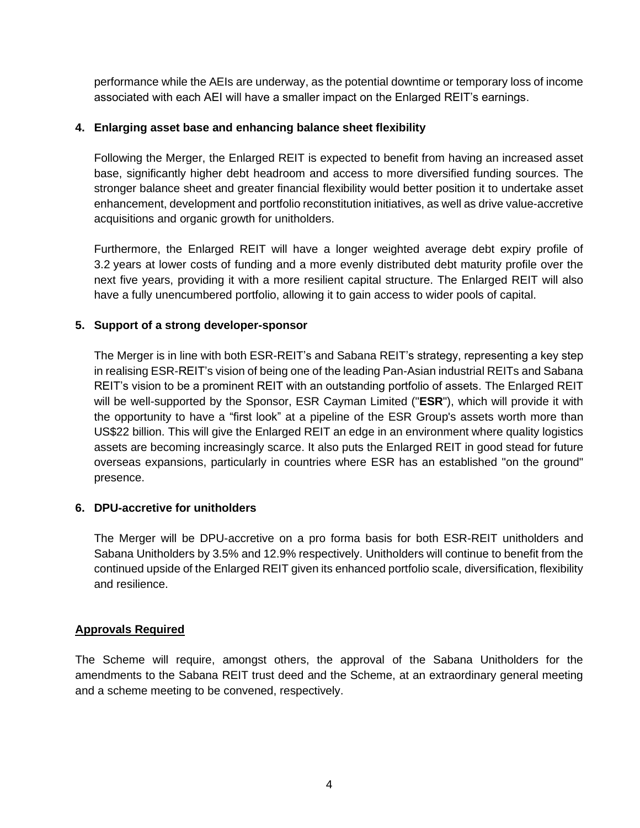performance while the AEIs are underway, as the potential downtime or temporary loss of income associated with each AEI will have a smaller impact on the Enlarged REIT's earnings.

## **4. Enlarging asset base and enhancing balance sheet flexibility**

Following the Merger, the Enlarged REIT is expected to benefit from having an increased asset base, significantly higher debt headroom and access to more diversified funding sources. The stronger balance sheet and greater financial flexibility would better position it to undertake asset enhancement, development and portfolio reconstitution initiatives, as well as drive value-accretive acquisitions and organic growth for unitholders.

Furthermore, the Enlarged REIT will have a longer weighted average debt expiry profile of 3.2 years at lower costs of funding and a more evenly distributed debt maturity profile over the next five years, providing it with a more resilient capital structure. The Enlarged REIT will also have a fully unencumbered portfolio, allowing it to gain access to wider pools of capital.

## **5. Support of a strong developer-sponsor**

The Merger is in line with both ESR-REIT's and Sabana REIT's strategy, representing a key step in realising ESR-REIT's vision of being one of the leading Pan-Asian industrial REITs and Sabana REIT's vision to be a prominent REIT with an outstanding portfolio of assets. The Enlarged REIT will be well-supported by the Sponsor, ESR Cayman Limited ("**ESR**"), which will provide it with the opportunity to have a "first look" at a pipeline of the ESR Group's assets worth more than US\$22 billion. This will give the Enlarged REIT an edge in an environment where quality logistics assets are becoming increasingly scarce. It also puts the Enlarged REIT in good stead for future overseas expansions, particularly in countries where ESR has an established "on the ground" presence.

### **6. DPU-accretive for unitholders**

The Merger will be DPU-accretive on a pro forma basis for both ESR-REIT unitholders and Sabana Unitholders by 3.5% and 12.9% respectively. Unitholders will continue to benefit from the continued upside of the Enlarged REIT given its enhanced portfolio scale, diversification, flexibility and resilience.

# **Approvals Required**

The Scheme will require, amongst others, the approval of the Sabana Unitholders for the amendments to the Sabana REIT trust deed and the Scheme, at an extraordinary general meeting and a scheme meeting to be convened, respectively.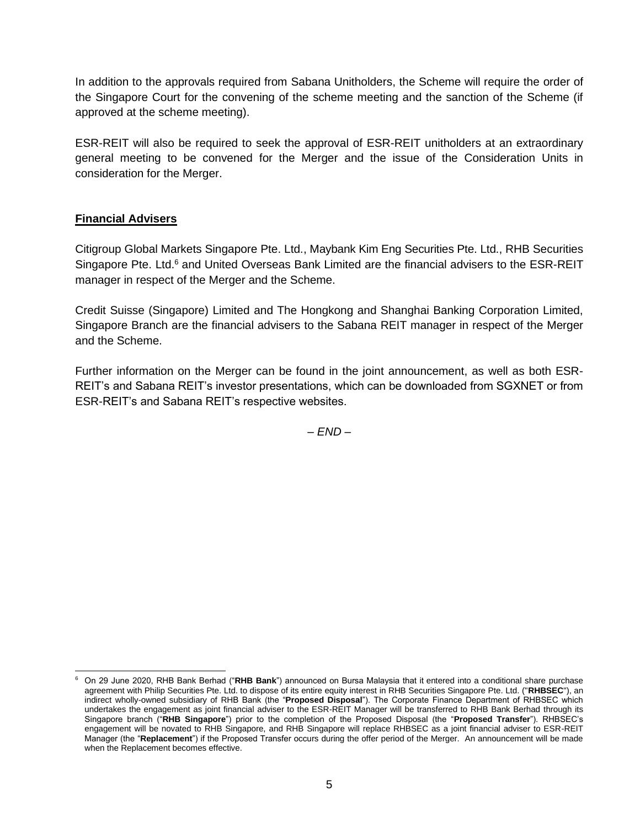In addition to the approvals required from Sabana Unitholders, the Scheme will require the order of the Singapore Court for the convening of the scheme meeting and the sanction of the Scheme (if approved at the scheme meeting).

ESR-REIT will also be required to seek the approval of ESR-REIT unitholders at an extraordinary general meeting to be convened for the Merger and the issue of the Consideration Units in consideration for the Merger.

# **Financial Advisers**

Citigroup Global Markets Singapore Pte. Ltd., Maybank Kim Eng Securities Pte. Ltd., RHB Securities Singapore Pte. Ltd.<sup>6</sup> and United Overseas Bank Limited are the financial advisers to the ESR-REIT manager in respect of the Merger and the Scheme.

Credit Suisse (Singapore) Limited and The Hongkong and Shanghai Banking Corporation Limited, Singapore Branch are the financial advisers to the Sabana REIT manager in respect of the Merger and the Scheme.

Further information on the Merger can be found in the joint announcement, as well as both ESR-REIT's and Sabana REIT's investor presentations, which can be downloaded from SGXNET or from ESR-REIT's and Sabana REIT's respective websites.

– *END* –

<sup>6</sup> On 29 June 2020, RHB Bank Berhad ("**RHB Bank**") announced on Bursa Malaysia that it entered into a conditional share purchase agreement with Philip Securities Pte. Ltd. to dispose of its entire equity interest in RHB Securities Singapore Pte. Ltd. ("**RHBSEC**"), an indirect wholly-owned subsidiary of RHB Bank (the "**Proposed Disposal**"). The Corporate Finance Department of RHBSEC which undertakes the engagement as joint financial adviser to the ESR-REIT Manager will be transferred to RHB Bank Berhad through its Singapore branch ("**RHB Singapore**") prior to the completion of the Proposed Disposal (the "**Proposed Transfer**"). RHBSEC's engagement will be novated to RHB Singapore, and RHB Singapore will replace RHBSEC as a joint financial adviser to ESR-REIT Manager (the "**Replacement**") if the Proposed Transfer occurs during the offer period of the Merger. An announcement will be made when the Replacement becomes effective.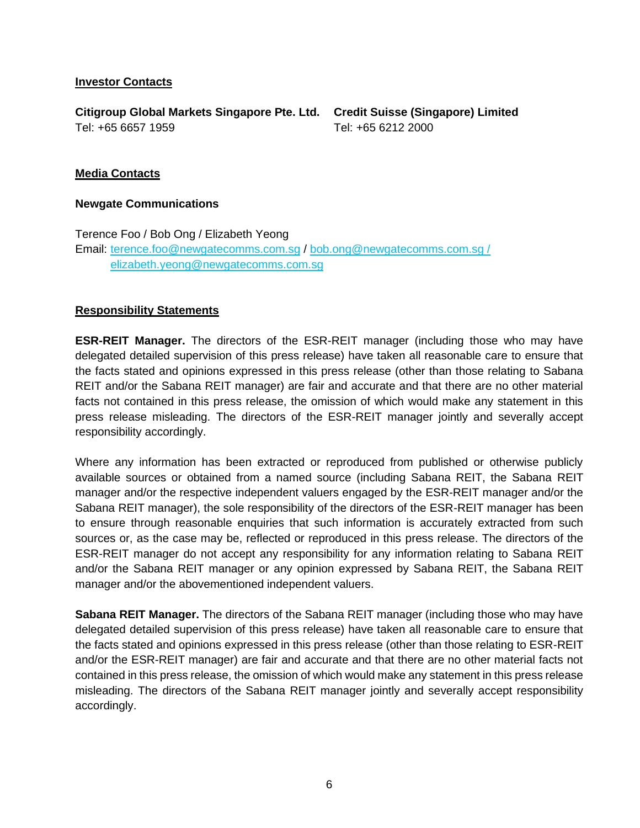#### **Investor Contacts**

**Citigroup Global Markets Singapore Pte. Ltd. Credit Suisse (Singapore) Limited** Tel: +65 6657 1959

Tel: +65 6212 2000

#### **Media Contacts**

#### **Newgate Communications**

Terence Foo / Bob Ong / Elizabeth Yeong Email: [terence.foo@newgatecomms.com.sg](mailto:terence.foo@newgatecomms.com.sg) / [bob.ong@newgatecomms.com.sg](mailto:Bob.ong@newgatecomms.com.sg) / elizabeth.yeong@newgatecomms.com.sg

#### **Responsibility Statements**

**ESR-REIT Manager.** The directors of the ESR-REIT manager (including those who may have delegated detailed supervision of this press release) have taken all reasonable care to ensure that the facts stated and opinions expressed in this press release (other than those relating to Sabana REIT and/or the Sabana REIT manager) are fair and accurate and that there are no other material facts not contained in this press release, the omission of which would make any statement in this press release misleading. The directors of the ESR-REIT manager jointly and severally accept responsibility accordingly.

Where any information has been extracted or reproduced from published or otherwise publicly available sources or obtained from a named source (including Sabana REIT, the Sabana REIT manager and/or the respective independent valuers engaged by the ESR-REIT manager and/or the Sabana REIT manager), the sole responsibility of the directors of the ESR-REIT manager has been to ensure through reasonable enquiries that such information is accurately extracted from such sources or, as the case may be, reflected or reproduced in this press release. The directors of the ESR-REIT manager do not accept any responsibility for any information relating to Sabana REIT and/or the Sabana REIT manager or any opinion expressed by Sabana REIT, the Sabana REIT manager and/or the abovementioned independent valuers.

**Sabana REIT Manager.** The directors of the Sabana REIT manager (including those who may have delegated detailed supervision of this press release) have taken all reasonable care to ensure that the facts stated and opinions expressed in this press release (other than those relating to ESR-REIT and/or the ESR-REIT manager) are fair and accurate and that there are no other material facts not contained in this press release, the omission of which would make any statement in this press release misleading. The directors of the Sabana REIT manager jointly and severally accept responsibility accordingly.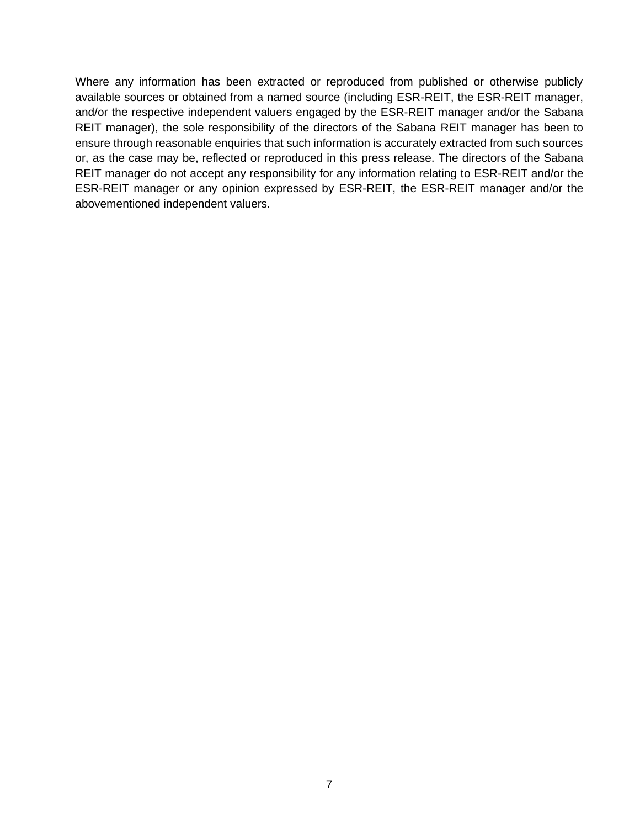Where any information has been extracted or reproduced from published or otherwise publicly available sources or obtained from a named source (including ESR-REIT, the ESR-REIT manager, and/or the respective independent valuers engaged by the ESR-REIT manager and/or the Sabana REIT manager), the sole responsibility of the directors of the Sabana REIT manager has been to ensure through reasonable enquiries that such information is accurately extracted from such sources or, as the case may be, reflected or reproduced in this press release. The directors of the Sabana REIT manager do not accept any responsibility for any information relating to ESR-REIT and/or the ESR-REIT manager or any opinion expressed by ESR-REIT, the ESR-REIT manager and/or the abovementioned independent valuers.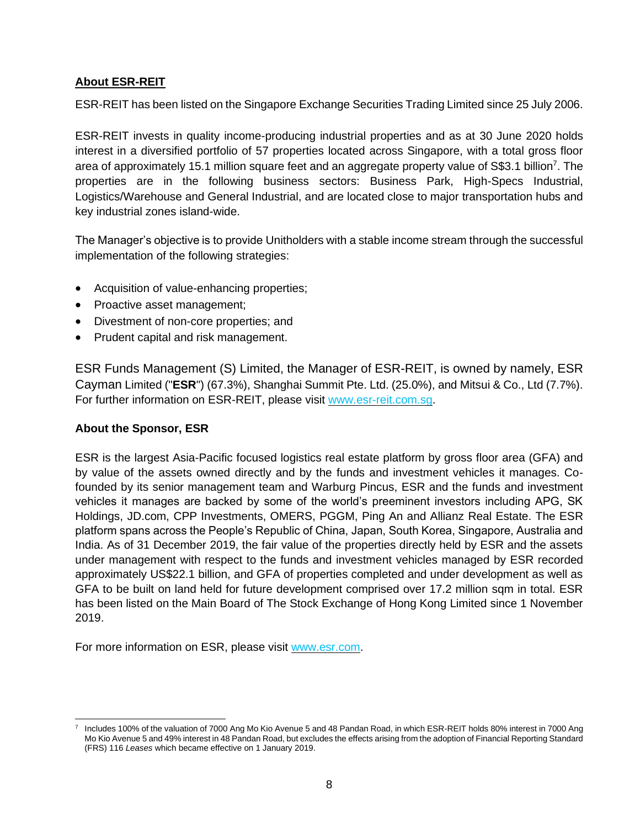# **About ESR-REIT**

ESR-REIT has been listed on the Singapore Exchange Securities Trading Limited since 25 July 2006.

ESR-REIT invests in quality income-producing industrial properties and as at 30 June 2020 holds interest in a diversified portfolio of 57 properties located across Singapore, with a total gross floor area of approximately 15.1 million square feet and an aggregate property value of S\$3.1 billion<sup>7</sup>. The properties are in the following business sectors: Business Park, High-Specs Industrial, Logistics/Warehouse and General Industrial, and are located close to major transportation hubs and key industrial zones island-wide.

The Manager's objective is to provide Unitholders with a stable income stream through the successful implementation of the following strategies:

- Acquisition of value-enhancing properties;
- Proactive asset management;
- Divestment of non-core properties; and
- Prudent capital and risk management.

ESR Funds Management (S) Limited, the Manager of ESR-REIT, is owned by namely, ESR Cayman Limited ("**ESR**") (67.3%), Shanghai Summit Pte. Ltd. (25.0%), and Mitsui & Co., Ltd (7.7%). For further information on ESR-REIT, please visit [www.esr-reit.com.sg.](http://www.esr-reit.com.sg/)

### **About the Sponsor, ESR**

ESR is the largest Asia-Pacific focused logistics real estate platform by gross floor area (GFA) and by value of the assets owned directly and by the funds and investment vehicles it manages. Cofounded by its senior management team and Warburg Pincus, ESR and the funds and investment vehicles it manages are backed by some of the world's preeminent investors including APG, SK Holdings, JD.com, CPP Investments, OMERS, PGGM, Ping An and Allianz Real Estate. The ESR platform spans across the People's Republic of China, Japan, South Korea, Singapore, Australia and India. As of 31 December 2019, the fair value of the properties directly held by ESR and the assets under management with respect to the funds and investment vehicles managed by ESR recorded approximately US\$22.1 billion, and GFA of properties completed and under development as well as GFA to be built on land held for future development comprised over 17.2 million sqm in total. ESR has been listed on the Main Board of The Stock Exchange of Hong Kong Limited since 1 November 2019.

For more information on ESR, please visit [www.esr.com.](https://apc01.safelinks.protection.outlook.com/?url=http%3A%2F%2Fwww.esr.com&data=02%7C01%7Cgloria.low%40esr-reit.com.sg%7Cb18ed7da682643de8b7008d766916f05%7C6ed733c0622d401d8f49b2984c7d765f%7C0%7C0%7C637090647129612986&sdata=hiUu8gk6thHcFkbiXEp08i9y2Ux64on2c0ivRFvmSek%3D&reserved=0)

<sup>7</sup> Includes 100% of the valuation of 7000 Ang Mo Kio Avenue 5 and 48 Pandan Road, in which ESR-REIT holds 80% interest in 7000 Ang Mo Kio Avenue 5 and 49% interest in 48 Pandan Road, but excludes the effects arising from the adoption of Financial Reporting Standard (FRS) 116 *Leases* which became effective on 1 January 2019.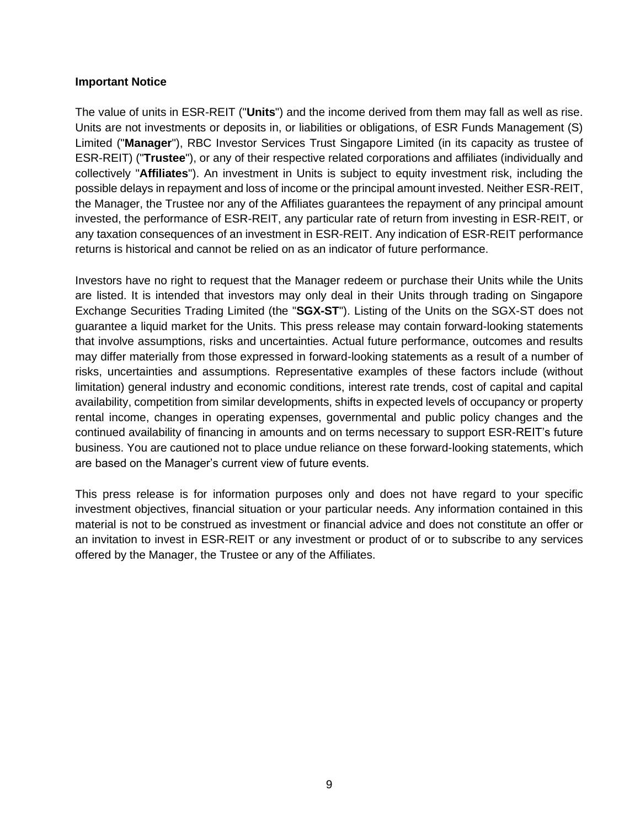#### **Important Notice**

The value of units in ESR-REIT ("**Units**") and the income derived from them may fall as well as rise. Units are not investments or deposits in, or liabilities or obligations, of ESR Funds Management (S) Limited ("**Manager**"), RBC Investor Services Trust Singapore Limited (in its capacity as trustee of ESR-REIT) ("**Trustee**"), or any of their respective related corporations and affiliates (individually and collectively "**Affiliates**"). An investment in Units is subject to equity investment risk, including the possible delays in repayment and loss of income or the principal amount invested. Neither ESR-REIT, the Manager, the Trustee nor any of the Affiliates guarantees the repayment of any principal amount invested, the performance of ESR-REIT, any particular rate of return from investing in ESR-REIT, or any taxation consequences of an investment in ESR-REIT. Any indication of ESR-REIT performance returns is historical and cannot be relied on as an indicator of future performance.

Investors have no right to request that the Manager redeem or purchase their Units while the Units are listed. It is intended that investors may only deal in their Units through trading on Singapore Exchange Securities Trading Limited (the "**SGX-ST**"). Listing of the Units on the SGX-ST does not guarantee a liquid market for the Units. This press release may contain forward-looking statements that involve assumptions, risks and uncertainties. Actual future performance, outcomes and results may differ materially from those expressed in forward-looking statements as a result of a number of risks, uncertainties and assumptions. Representative examples of these factors include (without limitation) general industry and economic conditions, interest rate trends, cost of capital and capital availability, competition from similar developments, shifts in expected levels of occupancy or property rental income, changes in operating expenses, governmental and public policy changes and the continued availability of financing in amounts and on terms necessary to support ESR-REIT's future business. You are cautioned not to place undue reliance on these forward-looking statements, which are based on the Manager's current view of future events.

This press release is for information purposes only and does not have regard to your specific investment objectives, financial situation or your particular needs. Any information contained in this material is not to be construed as investment or financial advice and does not constitute an offer or an invitation to invest in ESR-REIT or any investment or product of or to subscribe to any services offered by the Manager, the Trustee or any of the Affiliates.